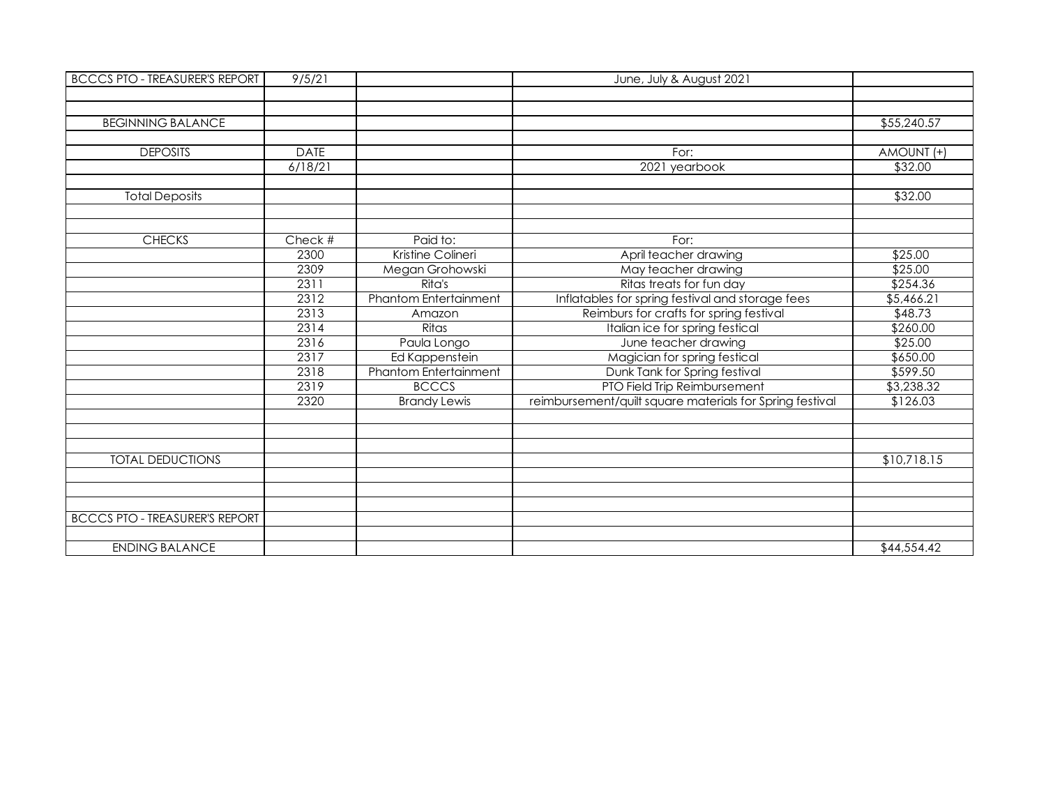| <b>BCCCS PTO - TREASURER'S REPORT</b> | 9/5/21      |                              | June, July & August 2021                                 |             |
|---------------------------------------|-------------|------------------------------|----------------------------------------------------------|-------------|
|                                       |             |                              |                                                          |             |
|                                       |             |                              |                                                          |             |
| <b>BEGINNING BALANCE</b>              |             |                              |                                                          | \$55,240.57 |
|                                       |             |                              |                                                          |             |
| <b>DEPOSITS</b>                       | <b>DATE</b> |                              | For:                                                     | AMOUNT (+)  |
|                                       | 6/18/21     |                              | 2021 yearbook                                            | \$32.00     |
|                                       |             |                              |                                                          |             |
| <b>Total Deposits</b>                 |             |                              |                                                          | \$32.00     |
|                                       |             |                              |                                                          |             |
|                                       |             |                              |                                                          |             |
| <b>CHECKS</b>                         | Check #     | Paid to:                     | For:                                                     |             |
|                                       | 2300        | Kristine Colineri            | April teacher drawing                                    | \$25.00     |
|                                       | 2309        | Megan Grohowski              | May teacher drawing                                      | \$25.00     |
|                                       | 2311        | Rita's                       | Ritas treats for fun day                                 | \$254.36    |
|                                       | 2312        | <b>Phantom Entertainment</b> | Inflatables for spring festival and storage fees         | \$5,466.21  |
|                                       | 2313        | Amazon                       | Reimburs for crafts for spring festival                  | \$48.73     |
|                                       | 2314        | Ritas                        | Italian ice for spring festical                          | \$260.00    |
|                                       | 2316        | Paula Longo                  | June teacher drawing                                     | \$25.00     |
|                                       | 2317        | Ed Kappenstein               | Magician for spring festical                             | \$650.00    |
|                                       | 2318        | <b>Phantom Entertainment</b> | Dunk Tank for Spring festival                            | \$599.50    |
|                                       | 2319        | <b>BCCCS</b>                 | PTO Field Trip Reimbursement                             | \$3,238.32  |
|                                       | 2320        | <b>Brandy Lewis</b>          | reimbursement/quilt square materials for Spring festival | \$126.03    |
|                                       |             |                              |                                                          |             |
|                                       |             |                              |                                                          |             |
|                                       |             |                              |                                                          |             |
| <b>TOTAL DEDUCTIONS</b>               |             |                              |                                                          | \$10,718.15 |
|                                       |             |                              |                                                          |             |
|                                       |             |                              |                                                          |             |
|                                       |             |                              |                                                          |             |
| <b>BCCCS PTO - TREASURER'S REPORT</b> |             |                              |                                                          |             |
|                                       |             |                              |                                                          |             |
| <b>ENDING BALANCE</b>                 |             |                              |                                                          | \$44,554.42 |